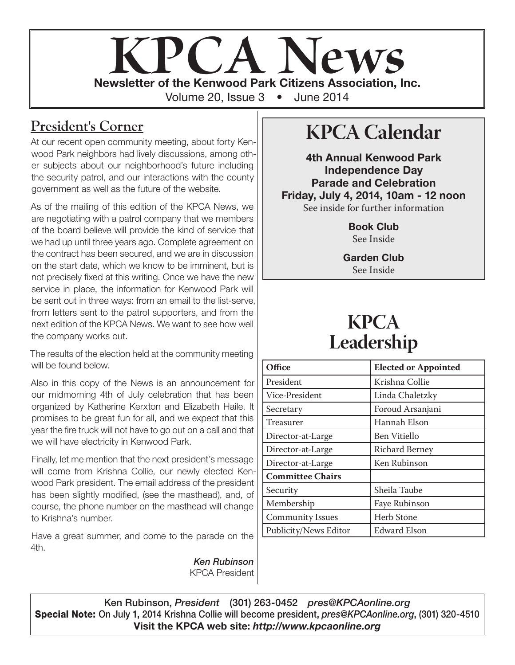# **KPCA Newsletter of the Kenwood Park Citizens Association, Inc.** Volume 20, Issue 3 • June 2014

#### **President's Corner**

At our recent open community meeting, about forty Kenwood Park neighbors had lively discussions, among other subjects about our neighborhood's future including the security patrol, and our interactions with the county government as well as the future of the website.

As of the mailing of this edition of the KPCA News, we are negotiating with a patrol company that we members of the board believe will provide the kind of service that we had up until three years ago. Complete agreement on the contract has been secured, and we are in discussion on the start date, which we know to be imminent, but is not precisely fixed at this writing. Once we have the new service in place, the information for Kenwood Park will be sent out in three ways: from an email to the list-serve, from letters sent to the patrol supporters, and from the next edition of the KPCA News. We want to see how well the company works out.

The results of the election held at the community meeting will be found below.

Also in this copy of the News is an announcement for our midmorning 4th of July celebration that has been organized by Katherine Kerxton and Elizabeth Haile. It promises to be great fun for all, and we expect that this year the fire truck will not have to go out on a call and that we will have electricity in Kenwood Park.

Finally, let me mention that the next president's message will come from Krishna Collie, our newly elected Kenwood Park president. The email address of the president has been slightly modified, (see the masthead), and, of course, the phone number on the masthead will change to Krishna's number.

Have a great summer, and come to the parade on the 4th.

> *Ken Rubinson* KPCA President

## **KPCA Calendar**

4th Annual Kenwood Park Independence Day Parade and Celebration Friday, July 4, 2014, 10am - 12 noon See inside for further information

> Book Club See Inside

Garden Club See Inside

## **KPCA Leadership**

| Office                  | <b>Elected or Appointed</b> |
|-------------------------|-----------------------------|
| President               | Krishna Collie              |
| Vice-President          | Linda Chaletzky             |
| Secretary               | Foroud Arsanjani            |
| Treasurer               | Hannah Elson                |
| Director-at-Large       | <b>Ben Vitiello</b>         |
| Director-at-Large       | <b>Richard Berney</b>       |
| Director-at-Large       | Ken Rubinson                |
| <b>Committee Chairs</b> |                             |
| Security                | Sheila Taube                |
| Membership              | Faye Rubinson               |
| <b>Community Issues</b> | <b>Herb Stone</b>           |
| Publicity/News Editor   | <b>Edward Elson</b>         |

Ken Rubinson, *President* (301) 263-0452 *pres@KPCAonline.org* Special Note: On July 1, 2014 Krishna Collie will become president, *pres@KPCAonline.org*, (301) 320-4510 Visit the KPCA web site: *http://www.kpcaonline.org*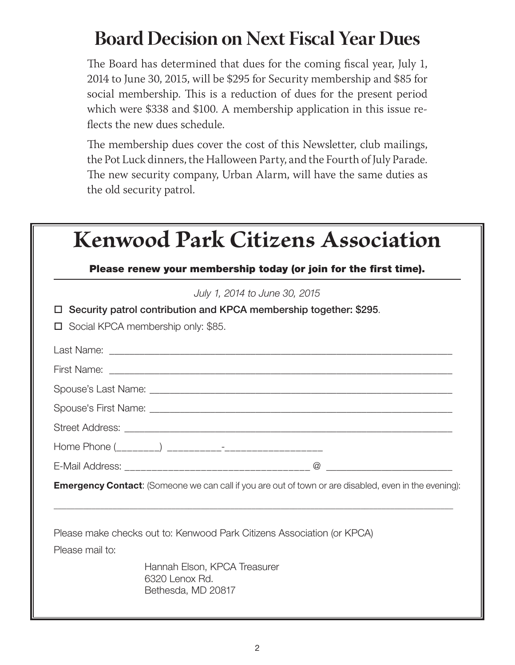## **Board Decision on Next Fiscal Year Dues**

The Board has determined that dues for the coming fiscal year, July 1, 2014 to June 30, 2015, will be \$295 for Security membership and \$85 for social membership. This is a reduction of dues for the present period which were \$338 and \$100. A membership application in this issue reflects the new dues schedule.

The membership dues cover the cost of this Newsletter, club mailings, the Pot Luck dinners, the Halloween Party, and the Fourth of July Parade. The new security company, Urban Alarm, will have the same duties as the old security patrol.

| <b>Kenwood Park Citizens Association</b>                         |                                                                                                              |  |  |
|------------------------------------------------------------------|--------------------------------------------------------------------------------------------------------------|--|--|
| Please renew your membership today (or join for the first time). |                                                                                                              |  |  |
|                                                                  | July 1, 2014 to June 30, 2015                                                                                |  |  |
|                                                                  | Security patrol contribution and KPCA membership together: \$295.                                            |  |  |
|                                                                  | Social KPCA membership only: \$85.                                                                           |  |  |
|                                                                  |                                                                                                              |  |  |
|                                                                  |                                                                                                              |  |  |
|                                                                  |                                                                                                              |  |  |
|                                                                  |                                                                                                              |  |  |
|                                                                  |                                                                                                              |  |  |
|                                                                  | Home Phone (________) ___________- <sup>_</sup> _____________________                                        |  |  |
|                                                                  |                                                                                                              |  |  |
|                                                                  | <b>Emergency Contact:</b> (Someone we can call if you are out of town or are disabled, even in the evening): |  |  |
|                                                                  | Please make checks out to: Kenwood Park Citizens Association (or KPCA)                                       |  |  |
| Please mail to:                                                  |                                                                                                              |  |  |
|                                                                  | Hannah Elson, KPCA Treasurer<br>6320 Lenox Rd.<br>Bethesda, MD 20817                                         |  |  |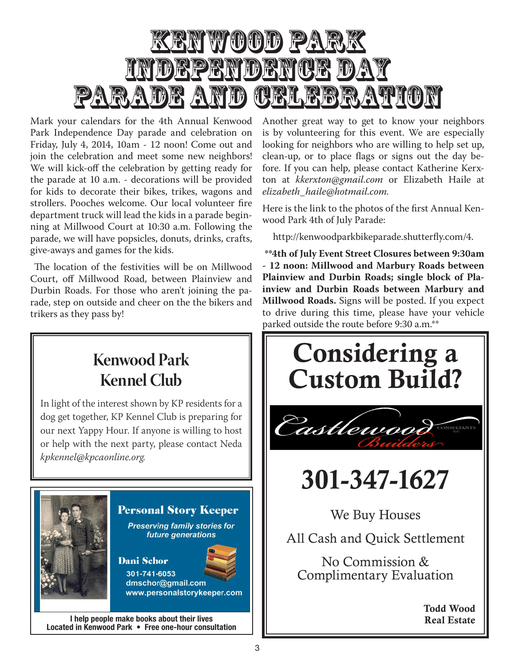

Mark your calendars for the 4th Annual Kenwood Park Independence Day parade and celebration on Friday, July 4, 2014, 10am - 12 noon! Come out and join the celebration and meet some new neighbors! We will kick-off the celebration by getting ready for the parade at 10 a.m. - decorations will be provided for kids to decorate their bikes, trikes, wagons and strollers. Pooches welcome. Our local volunteer fire department truck will lead the kids in a parade beginning at Millwood Court at 10:30 a.m. Following the parade, we will have popsicles, donuts, drinks, crafts, give-aways and games for the kids.

 The location of the festivities will be on Millwood Court, off Millwood Road, between Plainview and Durbin Roads. For those who aren't joining the parade, step on outside and cheer on the the bikers and trikers as they pass by!

Another great way to get to know your neighbors is by volunteering for this event. We are especially looking for neighbors who are willing to help set up, clean-up, or to place flags or signs out the day be- $\alpha$  Core. If you can need, prease contact Natherine Netxton at *kkerxton@gmail.com* or Elizabeth Haile at the intervention of the state of the state of the state of the sta elizabeth\_haile@hotmail.com.<br>. fore. If you can help, please contact Katherine Kerx-

Here is the link to the photos of the first Annual Kenwood Park 4th of July Parade:

http://kenwoodparkbikeparade.shutterfly.com/4.

Interested in playing bridge or starting a bridge club **- 12 noon: Millwood and Marbury Roads between Plainview and Durbin Roads; single block of Pla-**Fitchett at (301) 229-8400 or Christina Lobo at (301) **inview and Durbin Roads between Marbury and**  229-3490. This is just to start the ball rolling, we could **Millwood Roads.** Signs will be posted. If you expect start players are also separately below the Spring. The Suppose to drive during this time, please have your vehicle **\*\*4th of July Event Street Closures between 9:30am**  parked outside the route before 9:30 a.m.\*\*



Dani Schor 301-741-6053

dmschor@gmail.com www.personalstorykeeper.com

I help people make books about their lives Located in Kenwood Park • Free one-hour consultation

Considering a | Custom Build? | Castlewood CONSULTANT **301-347-1627** 301-347-1627  $\boldsymbol{\mathsf{u}}$   $\mathsf{u}$   $\mathsf{u}$ We Buy Houses No Commission & Complementary Evaluation All Cash and Quick Settlement No Commission & **Todd Wood Complimentary Evaluation** Todd Wood

Real Estate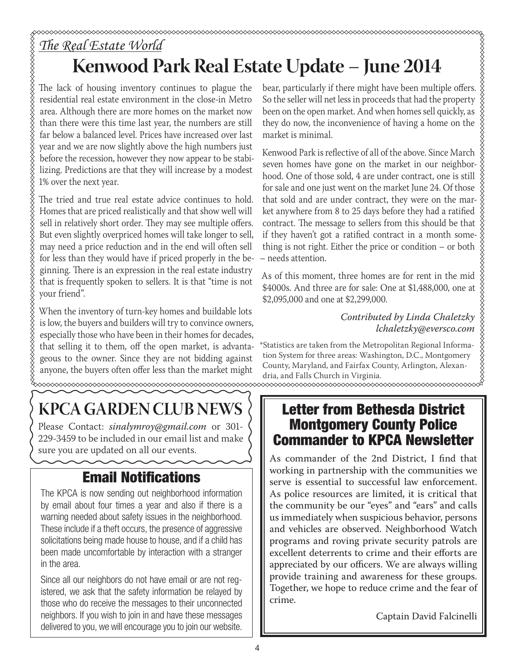## *The Real Estate World* **Kenwood Park Real Estate Update – June 2014**

The lack of housing inventory continues to plague the residential real estate environment in the close-in Metro area. Although there are more homes on the market now than there were this time last year, the numbers are still far below a balanced level. Prices have increased over last year and we are now slightly above the high numbers just before the recession, however they now appear to be stabilizing. Predictions are that they will increase by a modest 1% over the next year.

XXXXXXXXXXXXXXXXXXXXXXXXXXXXX

The tried and true real estate advice continues to hold. Homes that are priced realistically and that show well will sell in relatively short order. They may see multiple offers. But even slightly overpriced homes will take longer to sell, may need a price reduction and in the end will often sell for less than they would have if priced properly in the beginning. There is an expression in the real estate industry that is frequently spoken to sellers. It is that "time is not your friend".

When the inventory of turn-key homes and buildable lots is low, the buyers and builders will try to convince owners, especially those who have been in their homes for decades, that selling it to them, off the open market, is advantageous to the owner. Since they are not bidding against anyone, the buyers often offer less than the market might

## **KPCA GARDEN CLUB NEWS**

Please Contact: *sinalymroy@gmail.com* or 301- 229-3459 to be included in our email list and make sure you are updated on all our events.

### Email Notifications

The KPCA is now sending out neighborhood information by email about four times a year and also if there is a warning needed about safety issues in the neighborhood. These include if a theft occurs, the presence of aggressive solicitations being made house to house, and if a child has been made uncomfortable by interaction with a stranger in the area.

Since all our neighbors do not have email or are not registered, we ask that the safety information be relayed by those who do receive the messages to their unconnected neighbors. If you wish to join in and have these messages delivered to you, we will encourage you to join our website.

bear, particularly if there might have been multiple offers. So the seller will net less in proceeds that had the property been on the open market. And when homes sell quickly, as they do now, the inconvenience of having a home on the market is minimal.

Kenwood Park is reflective of all of the above. Since March seven homes have gone on the market in our neighborhood. One of those sold, 4 are under contract, one is still for sale and one just went on the market June 24. Of those that sold and are under contract, they were on the mar- $\frac{8}{3}$ ket anywhere from 8 to 25 days before they had a ratified contract. The message to sellers from this should be that  $\hat{\S}$ if they haven't got a ratified contract in a month some- $\frac{8}{9}$ thing is not right. Either the price or condition – or both – needs attention.

As of this moment, three homes are for rent in the mid \$4000s. And three are for sale: One at \$1,488,000, one at \$2,095,000 and one at \$2,299,000.

#### *Contributed by Linda Chaletzky lchaletzky@eversco.com*

\*Statistics are taken from the Metropolitan Regional Information System for three areas: Washington, D.C., Montgomery County, Maryland, and Fairfax County, Arlington, Alexandria, and Falls Church in Virginia.

#### Letter from Bethesda District Montgomery County Police Commander to KPCA Newsletter

As commander of the 2nd District, I find that working in partnership with the communities we serve is essential to successful law enforcement. As police resources are limited, it is critical that the community be our "eyes" and "ears" and calls us immediately when suspicious behavior, persons and vehicles are observed. Neighborhood Watch programs and roving private security patrols are excellent deterrents to crime and their efforts are appreciated by our officers. We are always willing provide training and awareness for these groups. Together, we hope to reduce crime and the fear of crime.

Captain David Falcinelli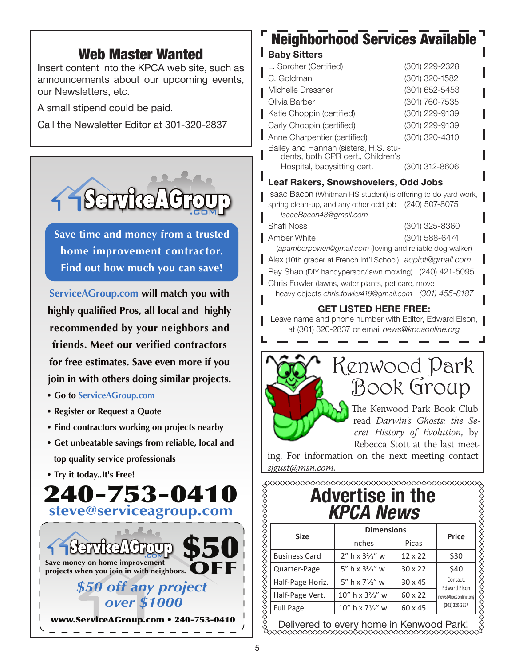#### Web Master Wanted

Insert content into the KPCA web site, such as announcements about our upcoming events, our Newsletters, etc.

A small stipend could be paid.

Call the Newsletter Editor at 301-320-2837



**Save time and money from a trusted home improvement contractor. Find out how much you can save!**

**ServiceAGroup.com will match you with highly qualified Pros, all local and highly recommended by your neighbors and friends. Meet our verified contractors for free estimates. Save even more if you join in with others doing similar projects.**

- **Go to ServiceAGroup.com**
- **Register or Request a Quote**
- **Find contractors working on projects nearby**
- **Get unbeatable savings from reliable, local and top quality service professionals**
- **Try it today..It's Free!**



## Neighborhood Services Available

#### **Baby Sitters**

| L. Sorcher (Certified)                                                     | (301) 229-2328 |
|----------------------------------------------------------------------------|----------------|
| C. Goldman                                                                 | (301) 320-1582 |
| Michelle Dressner                                                          | (301) 652-5453 |
| Olivia Barber                                                              | (301) 760-7535 |
| Katie Choppin (certified)                                                  | (301) 229-9139 |
| Carly Choppin (certified)                                                  | (301) 229-9139 |
| Anne Charpentier (certified)                                               | (301) 320-4310 |
| Bailey and Hannah (sisters, H.S. stu-<br>dents, both CPR cert., Children's |                |
| Hospital, babysitting cert.                                                | (301) 312-8606 |
|                                                                            |                |

#### Leaf Rakers, Snowshovelers, Odd Jobs

Isaac Bacon (Whitman HS student) is offering to do yard work, spring clean-up, and any other odd job (240) 507-8075 *IsaacBacon43@gmail.com*

| Shafi Noss  | (301) 325-8360                                          |
|-------------|---------------------------------------------------------|
| Amber White | (301) 588-6474                                          |
|             | (apamberpower@gmail.com (loving and reliable dog walker |

Alex (10th grader at French Int'l School) *acpiot@gmail.com*

Ray Shao (DIY handyperson/lawn mowing) (240) 421-5095

Chris Fowler (lawns, water plants, pet care, move

heavy objects *chris.fowler419@gmail.com (301) 455-8187*

#### GET LISTED HERE FREE:

Leave name and phone number with Editor, Edward Elson, | at (301) 320-2837 or email *news@kpcaonline.org*



## Kenwood Park Book Group

The Kenwood Park Book Club read *Darwin's Ghosts: the Secret History of Evolution*, by Rebecca Stott at the last meet-

ing. For information on the next meeting contact *sjgust@msn.com.* 

|  |                  | <b>Advertise in the</b> |
|--|------------------|-------------------------|
|  | <b>KPCA News</b> |                         |

| <b>Size</b>          | Inches                        | Picas          | <b>Price</b>                    |
|----------------------|-------------------------------|----------------|---------------------------------|
| <b>Business Card</b> | $2''$ h x $32/s''$ w          | 12 x 22        | \$30                            |
| Quarter-Page         | 5" h x $3\frac{2}{3}$ " w     | $30 \times 22$ | \$40                            |
| Half-Page Horiz.     | $5''$ h x $7\frac{1}{2}''$ w  | $30 \times 45$ | Contact:<br><b>Edward Elson</b> |
| Half-Page Vert.      | $10''$ h x $3\frac{2}{3}''$ w | 60 x 22        | news@kpcaonline.org             |
| <b>Full Page</b>     | 10" h x 71/2" w               | 60 x 45        | (301) 320-2837                  |

Delivered to every home in Kenwood Park!